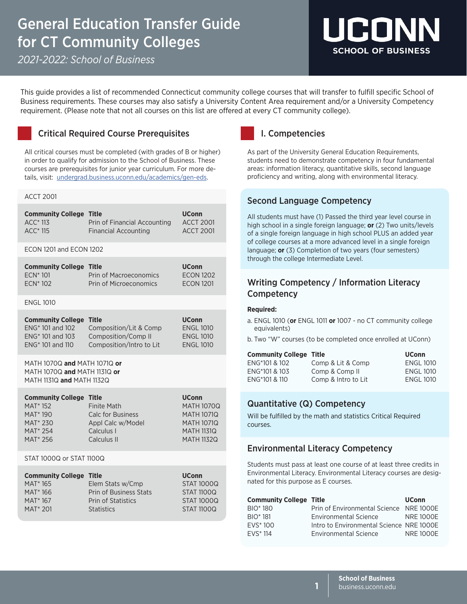# General Education Transfer Guide for CT Community Colleges

*2021-2022: School of Business*



This guide provides a list of recommended Connecticut community college courses that will transfer to fulfill specific School of Business requirements. These courses may also satisfy a University Content Area requirement and/or a University Competency requirement. (Please note that not all courses on this list are offered at every CT community college).

# Critical Required Course Prerequisites

All critical courses must be completed (with grades of B or higher) in order to qualify for admission to the School of Business. These courses are prerequisites for junior year curriculum. For more details, visit: [undergrad.business.uconn.edu/academics/gen-eds](https://undergrad.business.uconn.edu/academics/gen-eds/).

### ACCT 2001

| <b>Community College Title</b><br>$ACC*113$<br>$ACC*115$ | Prin of Financial Accounting<br><b>Financial Accounting</b> | <b>UConn</b><br><b>ACCT 2001</b><br>ACCT 2001 |
|----------------------------------------------------------|-------------------------------------------------------------|-----------------------------------------------|
| $-00113001$<br>$1 - 0 - 1 1 10 00$                       |                                                             |                                               |

#### ECON 1201 and ECON 1202

| <b>Community College Title</b> |                        | <b>UConn</b>     |
|--------------------------------|------------------------|------------------|
| $FCN*101$                      | Prin of Macroeconomics | <b>ECON 1202</b> |
| $FCN*102$                      | Prin of Microeconomics | <b>ECON 1201</b> |

ENGL 1010

| <b>Community College Title</b> |                          | <b>UConn</b>     |
|--------------------------------|--------------------------|------------------|
| ENG <sup>*</sup> 101 and 102   | Composition/Lit & Comp   | <b>ENGL 1010</b> |
| ENG <sup>*</sup> 101 and 103   | Composition/Comp II      | <b>ENGL 1010</b> |
| ENG <sup>*</sup> 101 and 110   | Composition/Intro to Lit | <b>ENGL 1010</b> |

MATH 1070Q **and** MATH 1071Q **or** MATH 1070Q **and** MATH 1131Q **or** MATH 1131Q **and** MATH 1132Q

| <b>Community College Title</b> |                          | <b>UConn</b>      |
|--------------------------------|--------------------------|-------------------|
| <b>MAT* 152</b>                | Finite Math              | <b>MATH 1070Q</b> |
| MAT <sup>*</sup> 190           | <b>Calc for Business</b> | <b>MATH 1071Q</b> |
| MAT <sup>*</sup> 230           | Appl Calc w/Model        | <b>MATH 1071Q</b> |
| MAT <sup>*</sup> 254           | Calculus I               | <b>MATH 1131Q</b> |
| MAT <sup>*</sup> 256           | Calculus II              | <b>MATH 1132Q</b> |

STAT 1000Q or STAT 1100Q

| <b>Community College Title</b> |                           | <b>UConn</b>      |
|--------------------------------|---------------------------|-------------------|
| MAT <sup>*</sup> 165           | Elem Stats w/Cmp          | <b>STAT 1000Q</b> |
| MAT <sup>*</sup> 166           | Prin of Business Stats    | <b>STAT 1100Q</b> |
| MAT <sup>*</sup> 167           | <b>Prin of Statistics</b> | <b>STAT 1000Q</b> |
| MAT <sup>*</sup> 201           | <b>Statistics</b>         | <b>STAT 11000</b> |

# I. Competencies

As part of the University General Education Requirements, students need to demonstrate competency in four fundamental areas: information literacy, quantitative skills, second language proficiency and writing, along with environmental literacy.

# Second Language Competency

All students must have (1) Passed the third year level course in high school in a single foreign language; **or** (2) Two units/levels of a single foreign language in high school PLUS an added year of college courses at a more advanced level in a single foreign language; **or** (3) Completion of two years (four semesters) through the college Intermediate Level.

# Writing Competency / Information Literacy **Competency**

### **Required:**

- a. ENGL 1010 (**or** ENGL 1011 **or** 1007 no CT community college equivalents)
- b. Two "W" courses (to be completed once enrolled at UConn)

| <b>Community College Title</b> |                     | <b>UConn</b>     |
|--------------------------------|---------------------|------------------|
| ENG*101 & 102                  | Comp & Lit & Comp   | <b>ENGL 1010</b> |
| ENG*101 & 103                  | Comp & Comp II      | <b>ENGL 1010</b> |
| ENG*101 & 110                  | Comp & Intro to Lit | <b>ENGL 1010</b> |

# Quantitative (Q) Competency

Will be fulfilled by the math and statistics Critical Required courses.

# Environmental Literacy Competency

Students must pass at least one course of at least three credits in Environmental Literacy. Environmental Literacy courses are designated for this purpose as E courses.

| <b>Community College Title</b> |                                          | <b>UConn</b>     |
|--------------------------------|------------------------------------------|------------------|
| BIO <sup>*</sup> 180           | Prin of Environmental Science NRE 1000E  |                  |
| <b>BIO</b> * 181               | <b>Environmental Science</b>             | <b>NRE 1000E</b> |
| $FVS^*100$                     | Intro to Environmental Science NRE 1000E |                  |
| <b>FVS</b> * 114               | <b>Environmental Science</b>             | <b>NRF1000F</b>  |
|                                |                                          |                  |